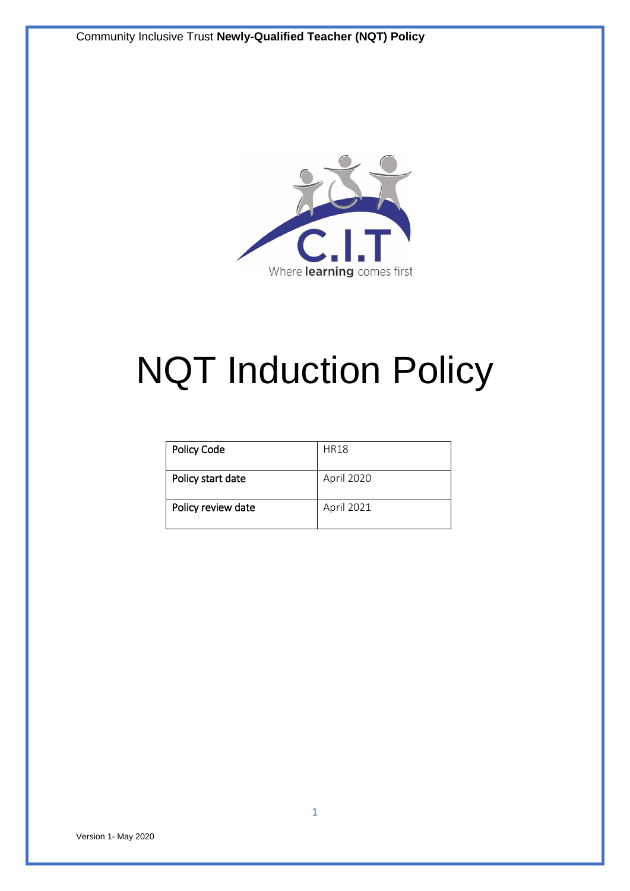

# NQT Induction Policy

| <b>Policy Code</b> | <b>HR18</b> |
|--------------------|-------------|
|                    |             |
| Policy start date  | April 2020  |
|                    |             |
| Policy review date | April 2021  |
|                    |             |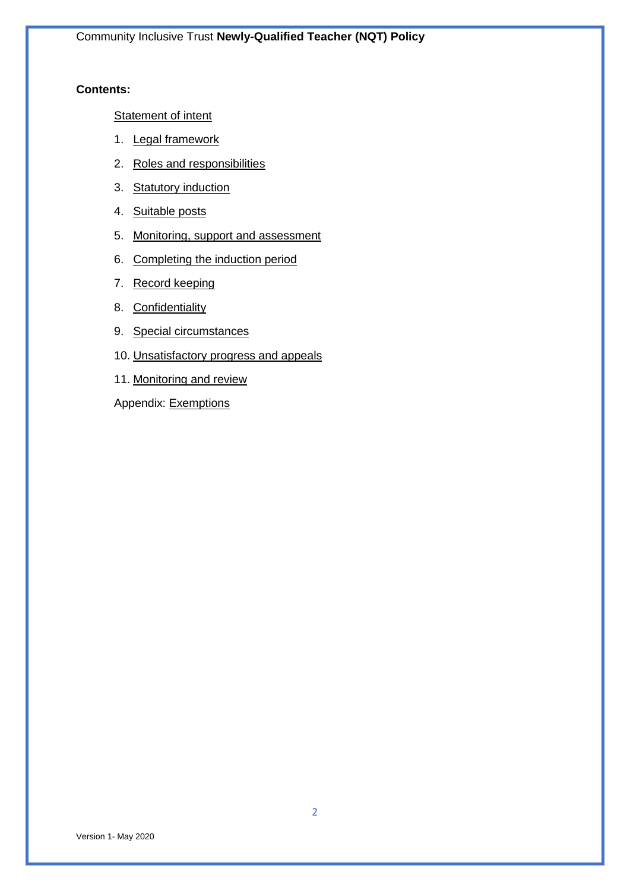# **Contents:**

**[Statement of intent](#page-2-0)** 

- 1. [Legal framework](#page-2-1)
- 2. [Roles and responsibilities](#page-2-2)
- 3. [Statutory induction](#page-6-0)
- 4. [Suitable posts](#page-7-0)
- 5. [Monitoring, support and assessment](#page-7-1)
- 6. [Completing the induction period](#page-8-0)
- 7. [Record keeping](#page-9-0)
- 8. [Confidentiality](#page-9-1)
- 9. [Special circumstances](#page-10-0)
- 10. [Unsatisfactory progress and appeals](#page-11-0)
- 11. Monitoring and review
- Appendix: [Exemptions](#page-13-0)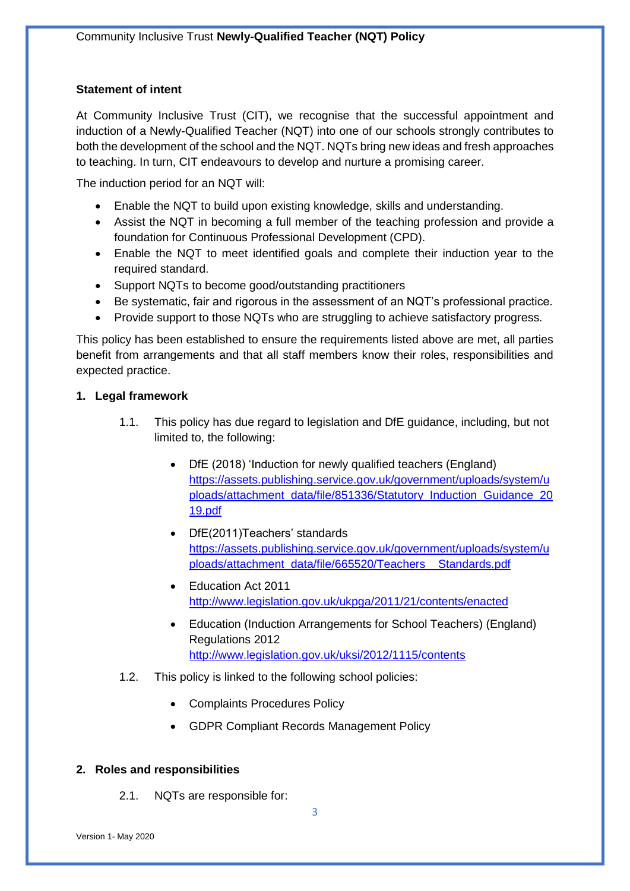# <span id="page-2-0"></span>**Statement of intent**

At Community Inclusive Trust (CIT), we recognise that the successful appointment and induction of a Newly-Qualified Teacher (NQT) into one of our schools strongly contributes to both the development of the school and the NQT. NQTs bring new ideas and fresh approaches to teaching. In turn, CIT endeavours to develop and nurture a promising career.

The induction period for an NQT will:

- Enable the NQT to build upon existing knowledge, skills and understanding.
- Assist the NQT in becoming a full member of the teaching profession and provide a foundation for Continuous Professional Development (CPD).
- Enable the NQT to meet identified goals and complete their induction year to the required standard.
- Support NQTs to become good/outstanding practitioners
- Be systematic, fair and rigorous in the assessment of an NQT's professional practice.
- Provide support to those NQTs who are struggling to achieve satisfactory progress.

This policy has been established to ensure the requirements listed above are met, all parties benefit from arrangements and that all staff members know their roles, responsibilities and expected practice.

# <span id="page-2-1"></span>**1. Legal framework**

- 1.1. This policy has due regard to legislation and DfE guidance, including, but not limited to, the following:
	- DfE (2018) 'Induction for newly qualified teachers (England) [https://assets.publishing.service.gov.uk/government/uploads/system/u](https://assets.publishing.service.gov.uk/government/uploads/system/uploads/attachment_data/file/851336/Statutory_Induction_Guidance_2019.pdf) [ploads/attachment\\_data/file/851336/Statutory\\_Induction\\_Guidance\\_20](https://assets.publishing.service.gov.uk/government/uploads/system/uploads/attachment_data/file/851336/Statutory_Induction_Guidance_2019.pdf) [19.pdf](https://assets.publishing.service.gov.uk/government/uploads/system/uploads/attachment_data/file/851336/Statutory_Induction_Guidance_2019.pdf)
	- DfE(2011)Teachers' standards [https://assets.publishing.service.gov.uk/government/uploads/system/u](https://assets.publishing.service.gov.uk/government/uploads/system/uploads/attachment_data/file/665520/Teachers__Standards.pdf) [ploads/attachment\\_data/file/665520/Teachers\\_\\_Standards.pdf](https://assets.publishing.service.gov.uk/government/uploads/system/uploads/attachment_data/file/665520/Teachers__Standards.pdf)
	- Fducation Act 2011 <http://www.legislation.gov.uk/ukpga/2011/21/contents/enacted>
	- Education (Induction Arrangements for School Teachers) (England) Regulations 2012 <http://www.legislation.gov.uk/uksi/2012/1115/contents>
- 1.2. This policy is linked to the following school policies:
	- Complaints Procedures Policy
	- GDPR Compliant Records Management Policy

# <span id="page-2-2"></span>**2. Roles and responsibilities**

2.1. NQTs are responsible for: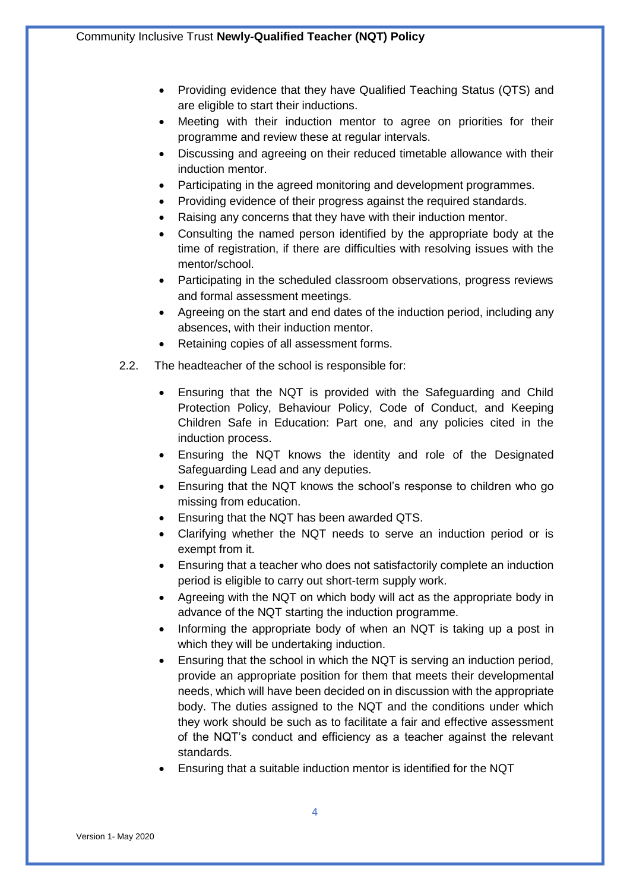- Providing evidence that they have Qualified Teaching Status (QTS) and are eligible to start their inductions.
- Meeting with their induction mentor to agree on priorities for their programme and review these at regular intervals.
- Discussing and agreeing on their reduced timetable allowance with their induction mentor.
- Participating in the agreed monitoring and development programmes.
- Providing evidence of their progress against the required standards.
- Raising any concerns that they have with their induction mentor.
- Consulting the named person identified by the appropriate body at the time of registration, if there are difficulties with resolving issues with the mentor/school.
- Participating in the scheduled classroom observations, progress reviews and formal assessment meetings.
- Agreeing on the start and end dates of the induction period, including any absences, with their induction mentor.
- Retaining copies of all assessment forms.
- 2.2. The headteacher of the school is responsible for:
	- Ensuring that the NQT is provided with the Safeguarding and Child Protection Policy, Behaviour Policy, Code of Conduct, and Keeping Children Safe in Education: Part one, and any policies cited in the induction process.
	- Ensuring the NQT knows the identity and role of the Designated Safeguarding Lead and any deputies.
	- Ensuring that the NQT knows the school's response to children who go missing from education.
	- Ensuring that the NQT has been awarded QTS.
	- Clarifying whether the NQT needs to serve an induction period or is exempt from it.
	- Ensuring that a teacher who does not satisfactorily complete an induction period is eligible to carry out short-term supply work.
	- Agreeing with the NQT on which body will act as the appropriate body in advance of the NQT starting the induction programme.
	- Informing the appropriate body of when an NQT is taking up a post in which they will be undertaking induction.
	- Ensuring that the school in which the NQT is serving an induction period, provide an appropriate position for them that meets their developmental needs, which will have been decided on in discussion with the appropriate body. The duties assigned to the NQT and the conditions under which they work should be such as to facilitate a fair and effective assessment of the NQT's conduct and efficiency as a teacher against the relevant standards.
	- Ensuring that a suitable induction mentor is identified for the NQT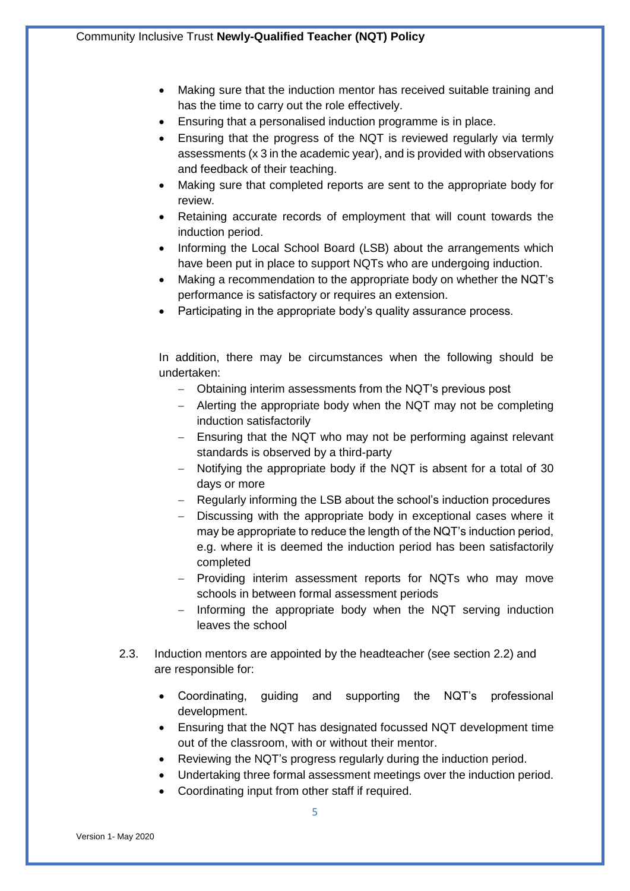- Making sure that the induction mentor has received suitable training and has the time to carry out the role effectively.
- Ensuring that a personalised induction programme is in place.
- Ensuring that the progress of the NQT is reviewed regularly via termly assessments (x 3 in the academic year), and is provided with observations and feedback of their teaching.
- Making sure that completed reports are sent to the appropriate body for review.
- Retaining accurate records of employment that will count towards the induction period.
- Informing the Local School Board (LSB) about the arrangements which have been put in place to support NQTs who are undergoing induction.
- Making a recommendation to the appropriate body on whether the NQT's performance is satisfactory or requires an extension.
- Participating in the appropriate body's quality assurance process.

In addition, there may be circumstances when the following should be undertaken:

- Obtaining interim assessments from the NQT's previous post
- Alerting the appropriate body when the NQT may not be completing induction satisfactorily
- Ensuring that the NQT who may not be performing against relevant standards is observed by a third-party
- Notifying the appropriate body if the NQT is absent for a total of 30 days or more
- Regularly informing the LSB about the school's induction procedures
- Discussing with the appropriate body in exceptional cases where it may be appropriate to reduce the length of the NQT's induction period, e.g. where it is deemed the induction period has been satisfactorily completed
- Providing interim assessment reports for NQTs who may move schools in between formal assessment periods
- $-$  Informing the appropriate body when the NQT serving induction leaves the school
- 2.3. Induction mentors are appointed by the headteacher (see section 2.2) and are responsible for:
	- Coordinating, guiding and supporting the NQT's professional development.
	- Ensuring that the NQT has designated focussed NQT development time out of the classroom, with or without their mentor.
	- Reviewing the NQT's progress regularly during the induction period.
	- Undertaking three formal assessment meetings over the induction period.
		- Coordinating input from other staff if required.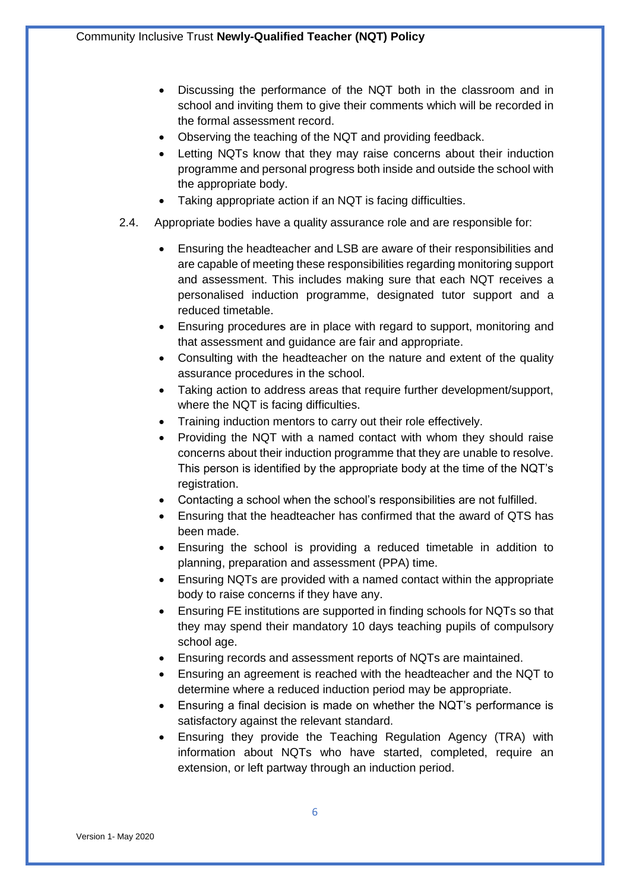- Discussing the performance of the NQT both in the classroom and in school and inviting them to give their comments which will be recorded in the formal assessment record.
- Observing the teaching of the NQT and providing feedback.
- Letting NQTs know that they may raise concerns about their induction programme and personal progress both inside and outside the school with the appropriate body.
- Taking appropriate action if an NQT is facing difficulties.
- 2.4. Appropriate bodies have a quality assurance role and are responsible for:
	- Ensuring the headteacher and LSB are aware of their responsibilities and are capable of meeting these responsibilities regarding monitoring support and assessment. This includes making sure that each NQT receives a personalised induction programme, designated tutor support and a reduced timetable.
	- Ensuring procedures are in place with regard to support, monitoring and that assessment and guidance are fair and appropriate.
	- Consulting with the headteacher on the nature and extent of the quality assurance procedures in the school.
	- Taking action to address areas that require further development/support, where the NQT is facing difficulties.
	- Training induction mentors to carry out their role effectively.
	- Providing the NQT with a named contact with whom they should raise concerns about their induction programme that they are unable to resolve. This person is identified by the appropriate body at the time of the NQT's registration.
	- Contacting a school when the school's responsibilities are not fulfilled.
	- Ensuring that the headteacher has confirmed that the award of QTS has been made.
	- Ensuring the school is providing a reduced timetable in addition to planning, preparation and assessment (PPA) time.
	- Ensuring NQTs are provided with a named contact within the appropriate body to raise concerns if they have any.
	- Ensuring FE institutions are supported in finding schools for NQTs so that they may spend their mandatory 10 days teaching pupils of compulsory school age.
	- Ensuring records and assessment reports of NQTs are maintained.
	- Ensuring an agreement is reached with the headteacher and the NQT to determine where a reduced induction period may be appropriate.
	- Ensuring a final decision is made on whether the NQT's performance is satisfactory against the relevant standard.
	- Ensuring they provide the Teaching Regulation Agency (TRA) with information about NQTs who have started, completed, require an extension, or left partway through an induction period.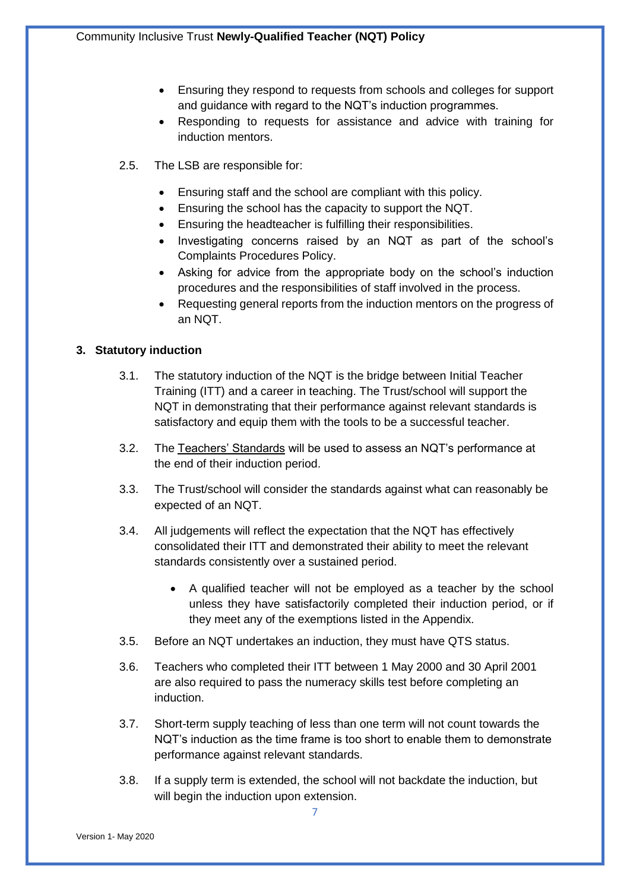- Ensuring they respond to requests from schools and colleges for support and guidance with regard to the NQT's induction programmes.
- Responding to requests for assistance and advice with training for induction mentors.
- 2.5. The LSB are responsible for:
	- Ensuring staff and the school are compliant with this policy.
	- Ensuring the school has the capacity to support the NQT.
	- Ensuring the headteacher is fulfilling their responsibilities.
	- Investigating concerns raised by an NQT as part of the school's Complaints Procedures Policy.
	- Asking for advice from the appropriate body on the school's induction procedures and the responsibilities of staff involved in the process.
	- Requesting general reports from the induction mentors on the progress of an NQT.

# <span id="page-6-0"></span>**3. Statutory induction**

- 3.1. The statutory induction of the NQT is the bridge between Initial Teacher Training (ITT) and a career in teaching. The Trust/school will support the NQT in demonstrating that their performance against relevant standards is satisfactory and equip them with the tools to be a successful teacher.
- 3.2. The [Teachers' Standards](https://www.gov.uk/government/publications/teachers-standards) will be used to assess an NQT's performance at the end of their induction period.
- 3.3. The Trust/school will consider the standards against what can reasonably be expected of an NQT.
- 3.4. All judgements will reflect the expectation that the NQT has effectively consolidated their ITT and demonstrated their ability to meet the relevant standards consistently over a sustained period.
	- A qualified teacher will not be employed as a teacher by the school unless they have satisfactorily completed their induction period, or if they meet any of the exemptions listed in the Appendix.
- 3.5. Before an NQT undertakes an induction, they must have QTS status.
- 3.6. Teachers who completed their ITT between 1 May 2000 and 30 April 2001 are also required to pass the numeracy skills test before completing an induction.
- 3.7. Short-term supply teaching of less than one term will not count towards the NQT's induction as the time frame is too short to enable them to demonstrate performance against relevant standards.
- 3.8. If a supply term is extended, the school will not backdate the induction, but will begin the induction upon extension.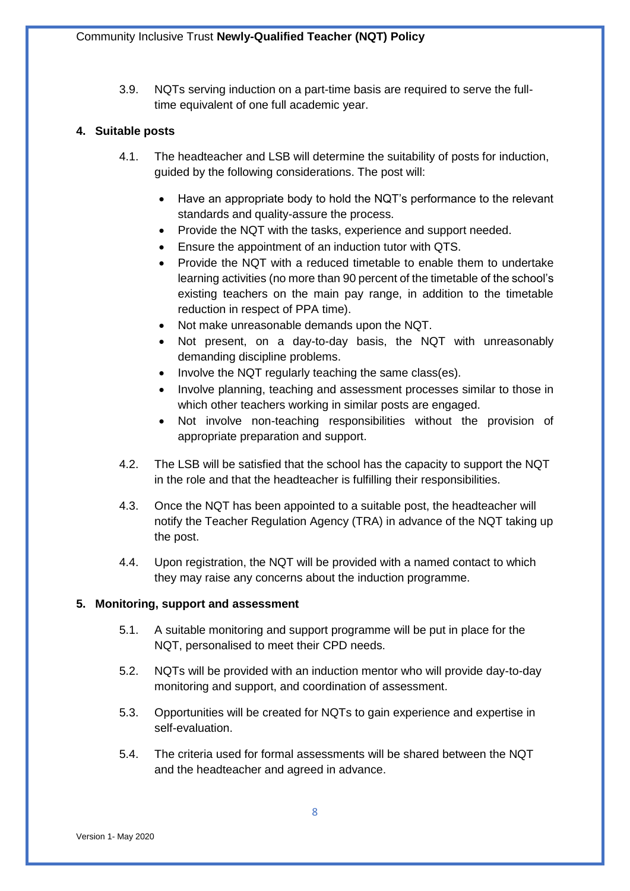3.9. NQTs serving induction on a part-time basis are required to serve the fulltime equivalent of one full academic year.

#### <span id="page-7-0"></span>**4. Suitable posts**

- 4.1. The headteacher and LSB will determine the suitability of posts for induction, guided by the following considerations. The post will:
	- Have an appropriate body to hold the NQT's performance to the relevant standards and quality-assure the process.
	- Provide the NQT with the tasks, experience and support needed.
	- Ensure the appointment of an induction tutor with QTS.
	- Provide the NQT with a reduced timetable to enable them to undertake learning activities (no more than 90 percent of the timetable of the school's existing teachers on the main pay range, in addition to the timetable reduction in respect of PPA time).
	- Not make unreasonable demands upon the NQT.
	- Not present, on a day-to-day basis, the NQT with unreasonably demanding discipline problems.
	- Involve the NQT regularly teaching the same class(es).
	- Involve planning, teaching and assessment processes similar to those in which other teachers working in similar posts are engaged.
	- Not involve non-teaching responsibilities without the provision of appropriate preparation and support.
- 4.2. The LSB will be satisfied that the school has the capacity to support the NQT in the role and that the headteacher is fulfilling their responsibilities.
- 4.3. Once the NQT has been appointed to a suitable post, the headteacher will notify the Teacher Regulation Agency (TRA) in advance of the NQT taking up the post.
- 4.4. Upon registration, the NQT will be provided with a named contact to which they may raise any concerns about the induction programme.

#### <span id="page-7-1"></span>**5. Monitoring, support and assessment**

- 5.1. A suitable monitoring and support programme will be put in place for the NQT, personalised to meet their CPD needs.
- 5.2. NQTs will be provided with an induction mentor who will provide day-to-day monitoring and support, and coordination of assessment.
- 5.3. Opportunities will be created for NQTs to gain experience and expertise in self-evaluation.
- 5.4. The criteria used for formal assessments will be shared between the NQT and the headteacher and agreed in advance.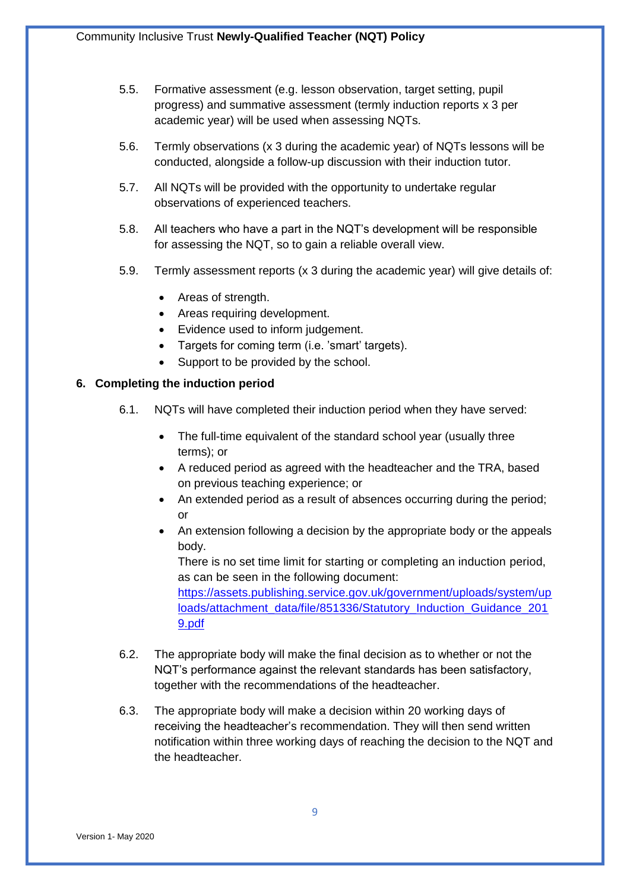- 5.5. Formative assessment (e.g. lesson observation, target setting, pupil progress) and summative assessment (termly induction reports x 3 per academic year) will be used when assessing NQTs.
- 5.6. Termly observations (x 3 during the academic year) of NQTs lessons will be conducted, alongside a follow-up discussion with their induction tutor.
- 5.7. All NQTs will be provided with the opportunity to undertake regular observations of experienced teachers.
- 5.8. All teachers who have a part in the NQT's development will be responsible for assessing the NQT, so to gain a reliable overall view.
- 5.9. Termly assessment reports (x 3 during the academic year) will give details of:
	- Areas of strength.
	- Areas requiring development.
	- Evidence used to inform judgement.
	- Targets for coming term (i.e. 'smart' targets).
	- Support to be provided by the school.

#### <span id="page-8-0"></span>**6. Completing the induction period**

- 6.1. NQTs will have completed their induction period when they have served:
	- The full-time equivalent of the standard school year (usually three terms); or
	- A reduced period as agreed with the headteacher and the TRA, based on previous teaching experience; or
	- An extended period as a result of absences occurring during the period; or
	- An extension following a decision by the appropriate body or the appeals body.

There is no set time limit for starting or completing an induction period, as can be seen in the following document:

[https://assets.publishing.service.gov.uk/government/uploads/system/up](https://assets.publishing.service.gov.uk/government/uploads/system/uploads/attachment_data/file/851336/Statutory_Induction_Guidance_2019.pdf) [loads/attachment\\_data/file/851336/Statutory\\_Induction\\_Guidance\\_201](https://assets.publishing.service.gov.uk/government/uploads/system/uploads/attachment_data/file/851336/Statutory_Induction_Guidance_2019.pdf) [9.pdf](https://assets.publishing.service.gov.uk/government/uploads/system/uploads/attachment_data/file/851336/Statutory_Induction_Guidance_2019.pdf)

- 6.2. The appropriate body will make the final decision as to whether or not the NQT's performance against the relevant standards has been satisfactory, together with the recommendations of the headteacher.
- 6.3. The appropriate body will make a decision within 20 working days of receiving the headteacher's recommendation. They will then send written notification within three working days of reaching the decision to the NQT and the headteacher.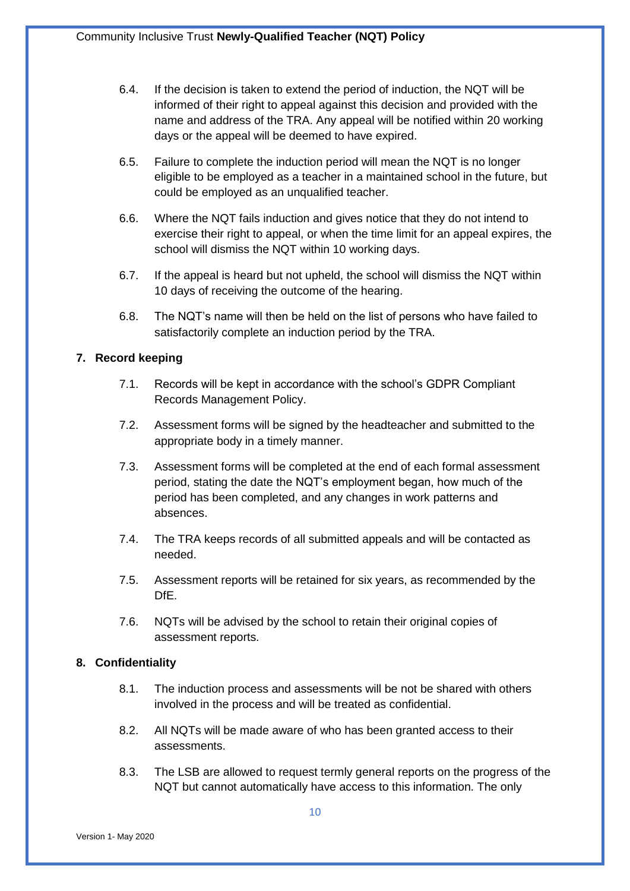- 6.4. If the decision is taken to extend the period of induction, the NQT will be informed of their right to appeal against this decision and provided with the name and address of the TRA. Any appeal will be notified within 20 working days or the appeal will be deemed to have expired.
- 6.5. Failure to complete the induction period will mean the NQT is no longer eligible to be employed as a teacher in a maintained school in the future, but could be employed as an unqualified teacher.
- 6.6. Where the NQT fails induction and gives notice that they do not intend to exercise their right to appeal, or when the time limit for an appeal expires, the school will dismiss the NQT within 10 working days.
- 6.7. If the appeal is heard but not upheld, the school will dismiss the NQT within 10 days of receiving the outcome of the hearing.
- 6.8. The NQT's name will then be held on the list of persons who have failed to satisfactorily complete an induction period by the TRA.

# <span id="page-9-0"></span>**7. Record keeping**

- 7.1. Records will be kept in accordance with the school's GDPR Compliant Records Management Policy.
- 7.2. Assessment forms will be signed by the headteacher and submitted to the appropriate body in a timely manner.
- 7.3. Assessment forms will be completed at the end of each formal assessment period, stating the date the NQT's employment began, how much of the period has been completed, and any changes in work patterns and absences.
- 7.4. The TRA keeps records of all submitted appeals and will be contacted as needed.
- 7.5. Assessment reports will be retained for six years, as recommended by the DfE.
- 7.6. NQTs will be advised by the school to retain their original copies of assessment reports.

#### <span id="page-9-1"></span>**8. Confidentiality**

- 8.1. The induction process and assessments will be not be shared with others involved in the process and will be treated as confidential.
- 8.2. All NQTs will be made aware of who has been granted access to their assessments.
- 8.3. The LSB are allowed to request termly general reports on the progress of the NQT but cannot automatically have access to this information. The only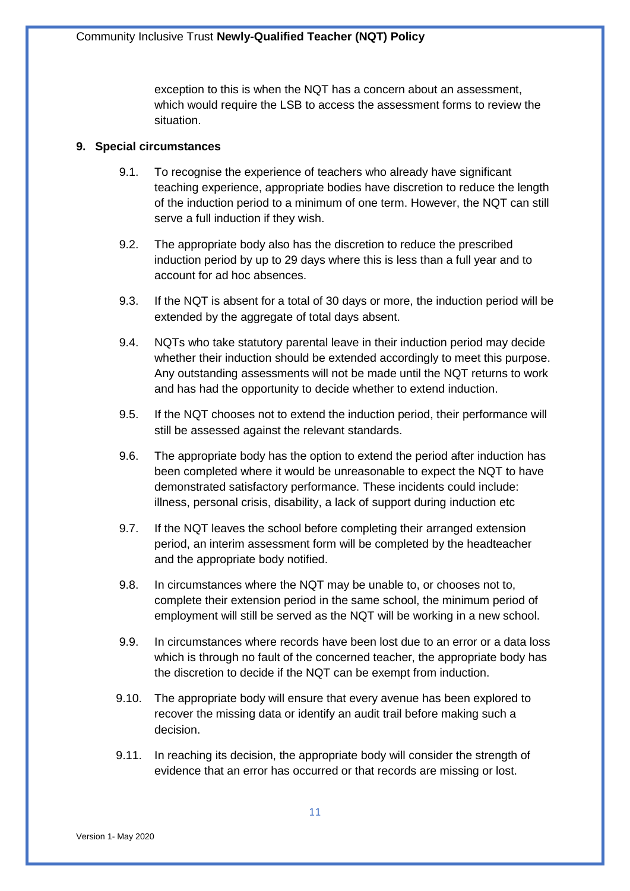exception to this is when the NQT has a concern about an assessment, which would require the LSB to access the assessment forms to review the situation.

#### <span id="page-10-0"></span>**9. Special circumstances**

- 9.1. To recognise the experience of teachers who already have significant teaching experience, appropriate bodies have discretion to reduce the length of the induction period to a minimum of one term. However, the NQT can still serve a full induction if they wish.
- 9.2. The appropriate body also has the discretion to reduce the prescribed induction period by up to 29 days where this is less than a full year and to account for ad hoc absences.
- 9.3. If the NQT is absent for a total of 30 days or more, the induction period will be extended by the aggregate of total days absent.
- 9.4. NQTs who take statutory parental leave in their induction period may decide whether their induction should be extended accordingly to meet this purpose. Any outstanding assessments will not be made until the NQT returns to work and has had the opportunity to decide whether to extend induction.
- 9.5. If the NQT chooses not to extend the induction period, their performance will still be assessed against the relevant standards.
- 9.6. The appropriate body has the option to extend the period after induction has been completed where it would be unreasonable to expect the NQT to have demonstrated satisfactory performance. These incidents could include: illness, personal crisis, disability, a lack of support during induction etc
- 9.7. If the NQT leaves the school before completing their arranged extension period, an interim assessment form will be completed by the headteacher and the appropriate body notified.
- 9.8. In circumstances where the NQT may be unable to, or chooses not to, complete their extension period in the same school, the minimum period of employment will still be served as the NQT will be working in a new school.
- 9.9. In circumstances where records have been lost due to an error or a data loss which is through no fault of the concerned teacher, the appropriate body has the discretion to decide if the NQT can be exempt from induction.
- 9.10. The appropriate body will ensure that every avenue has been explored to recover the missing data or identify an audit trail before making such a decision.
- 9.11. In reaching its decision, the appropriate body will consider the strength of evidence that an error has occurred or that records are missing or lost.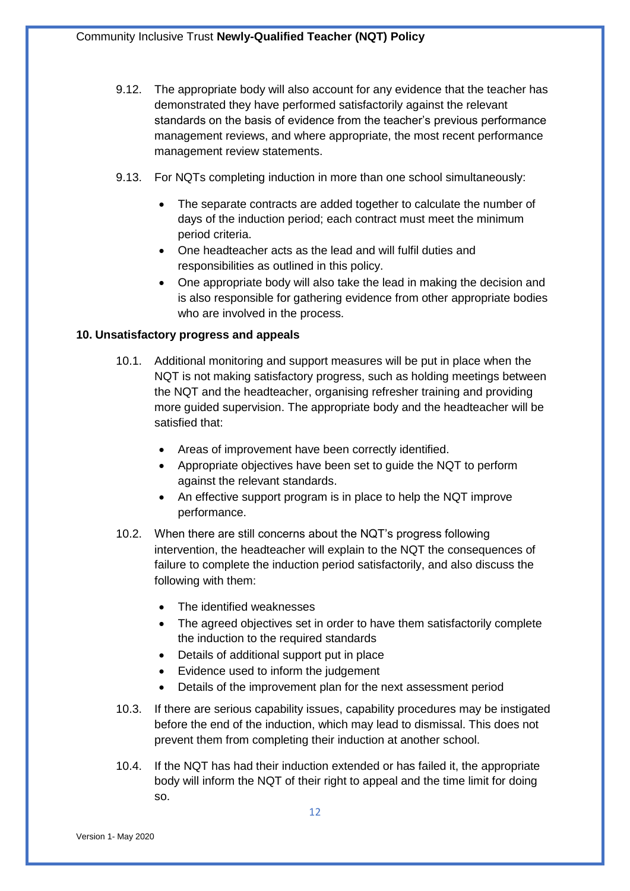- 9.12. The appropriate body will also account for any evidence that the teacher has demonstrated they have performed satisfactorily against the relevant standards on the basis of evidence from the teacher's previous performance management reviews, and where appropriate, the most recent performance management review statements.
- 9.13. For NQTs completing induction in more than one school simultaneously:
	- The separate contracts are added together to calculate the number of days of the induction period; each contract must meet the minimum period criteria.
	- One headteacher acts as the lead and will fulfil duties and responsibilities as outlined in this policy.
	- One appropriate body will also take the lead in making the decision and is also responsible for gathering evidence from other appropriate bodies who are involved in the process.

#### <span id="page-11-0"></span>**10. Unsatisfactory progress and appeals**

- 10.1. Additional monitoring and support measures will be put in place when the NQT is not making satisfactory progress, such as holding meetings between the NQT and the headteacher, organising refresher training and providing more guided supervision. The appropriate body and the headteacher will be satisfied that:
	- Areas of improvement have been correctly identified.
	- Appropriate objectives have been set to guide the NQT to perform against the relevant standards.
	- An effective support program is in place to help the NQT improve performance.
- 10.2. When there are still concerns about the NQT's progress following intervention, the headteacher will explain to the NQT the consequences of failure to complete the induction period satisfactorily, and also discuss the following with them:
	- The identified weaknesses
	- The agreed objectives set in order to have them satisfactorily complete the induction to the required standards
	- Details of additional support put in place
	- Evidence used to inform the judgement
	- Details of the improvement plan for the next assessment period
- 10.3. If there are serious capability issues, capability procedures may be instigated before the end of the induction, which may lead to dismissal. This does not prevent them from completing their induction at another school.
- 10.4. If the NQT has had their induction extended or has failed it, the appropriate body will inform the NQT of their right to appeal and the time limit for doing so.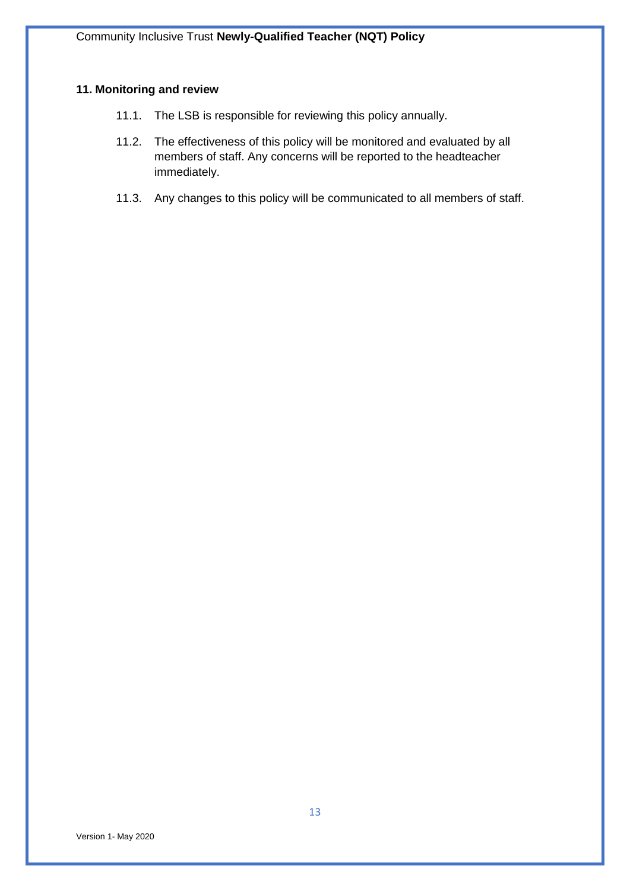#### <span id="page-12-0"></span>**11. Monitoring and review**

- 11.1. The LSB is responsible for reviewing this policy annually.
- 11.2. The effectiveness of this policy will be monitored and evaluated by all members of staff. Any concerns will be reported to the headteacher immediately.
- 11.3. Any changes to this policy will be communicated to all members of staff.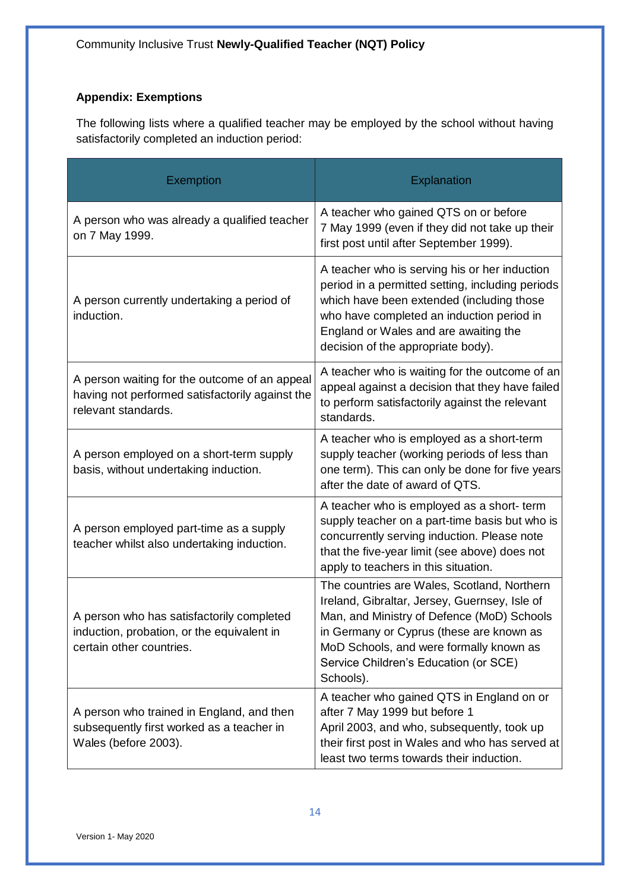# <span id="page-13-0"></span>**Appendix: Exemptions**

The following lists where a qualified teacher may be employed by the school without having satisfactorily completed an induction period:

| <b>Exemption</b>                                                                                                        | Explanation                                                                                                                                                                                                                                                                             |
|-------------------------------------------------------------------------------------------------------------------------|-----------------------------------------------------------------------------------------------------------------------------------------------------------------------------------------------------------------------------------------------------------------------------------------|
| A person who was already a qualified teacher<br>on 7 May 1999.                                                          | A teacher who gained QTS on or before<br>7 May 1999 (even if they did not take up their<br>first post until after September 1999).                                                                                                                                                      |
| A person currently undertaking a period of<br>induction.                                                                | A teacher who is serving his or her induction<br>period in a permitted setting, including periods<br>which have been extended (including those<br>who have completed an induction period in<br>England or Wales and are awaiting the<br>decision of the appropriate body).              |
| A person waiting for the outcome of an appeal<br>having not performed satisfactorily against the<br>relevant standards. | A teacher who is waiting for the outcome of an<br>appeal against a decision that they have failed<br>to perform satisfactorily against the relevant<br>standards.                                                                                                                       |
| A person employed on a short-term supply<br>basis, without undertaking induction.                                       | A teacher who is employed as a short-term<br>supply teacher (working periods of less than<br>one term). This can only be done for five years<br>after the date of award of QTS.                                                                                                         |
| A person employed part-time as a supply<br>teacher whilst also undertaking induction.                                   | A teacher who is employed as a short-term<br>supply teacher on a part-time basis but who is<br>concurrently serving induction. Please note<br>that the five-year limit (see above) does not<br>apply to teachers in this situation.                                                     |
| A person who has satisfactorily completed<br>induction, probation, or the equivalent in<br>certain other countries.     | The countries are Wales, Scotland, Northern<br>Ireland, Gibraltar, Jersey, Guernsey, Isle of<br>Man, and Ministry of Defence (MoD) Schools<br>in Germany or Cyprus (these are known as<br>MoD Schools, and were formally known as<br>Service Children's Education (or SCE)<br>Schools). |
| A person who trained in England, and then<br>subsequently first worked as a teacher in<br>Wales (before 2003).          | A teacher who gained QTS in England on or<br>after 7 May 1999 but before 1<br>April 2003, and who, subsequently, took up<br>their first post in Wales and who has served at<br>least two terms towards their induction.                                                                 |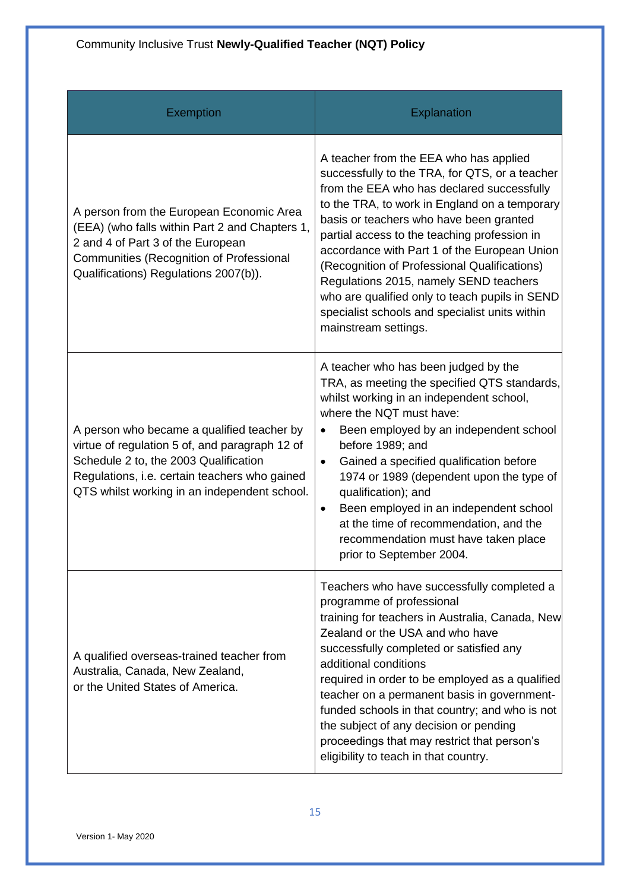| <b>Exemption</b>                                                                                                                                                                                                                       | <b>Explanation</b>                                                                                                                                                                                                                                                                                                                                                                                                                                                                                                                                       |
|----------------------------------------------------------------------------------------------------------------------------------------------------------------------------------------------------------------------------------------|----------------------------------------------------------------------------------------------------------------------------------------------------------------------------------------------------------------------------------------------------------------------------------------------------------------------------------------------------------------------------------------------------------------------------------------------------------------------------------------------------------------------------------------------------------|
| A person from the European Economic Area<br>(EEA) (who falls within Part 2 and Chapters 1,<br>2 and 4 of Part 3 of the European<br>Communities (Recognition of Professional<br>Qualifications) Regulations 2007(b)).                   | A teacher from the EEA who has applied<br>successfully to the TRA, for QTS, or a teacher<br>from the EEA who has declared successfully<br>to the TRA, to work in England on a temporary<br>basis or teachers who have been granted<br>partial access to the teaching profession in<br>accordance with Part 1 of the European Union<br>(Recognition of Professional Qualifications)<br>Regulations 2015, namely SEND teachers<br>who are qualified only to teach pupils in SEND<br>specialist schools and specialist units within<br>mainstream settings. |
| A person who became a qualified teacher by<br>virtue of regulation 5 of, and paragraph 12 of<br>Schedule 2 to, the 2003 Qualification<br>Regulations, i.e. certain teachers who gained<br>QTS whilst working in an independent school. | A teacher who has been judged by the<br>TRA, as meeting the specified QTS standards,<br>whilst working in an independent school,<br>where the NQT must have:<br>Been employed by an independent school<br>$\bullet$<br>before 1989; and<br>Gained a specified qualification before<br>$\bullet$<br>1974 or 1989 (dependent upon the type of<br>qualification); and<br>Been employed in an independent school<br>٠<br>at the time of recommendation, and the<br>recommendation must have taken place<br>prior to September 2004.                          |
| A qualified overseas-trained teacher from<br>Australia, Canada, New Zealand,<br>or the United States of America.                                                                                                                       | Teachers who have successfully completed a<br>programme of professional<br>training for teachers in Australia, Canada, New<br>Zealand or the USA and who have<br>successfully completed or satisfied any<br>additional conditions<br>required in order to be employed as a qualified<br>teacher on a permanent basis in government-<br>funded schools in that country; and who is not<br>the subject of any decision or pending<br>proceedings that may restrict that person's<br>eligibility to teach in that country.                                  |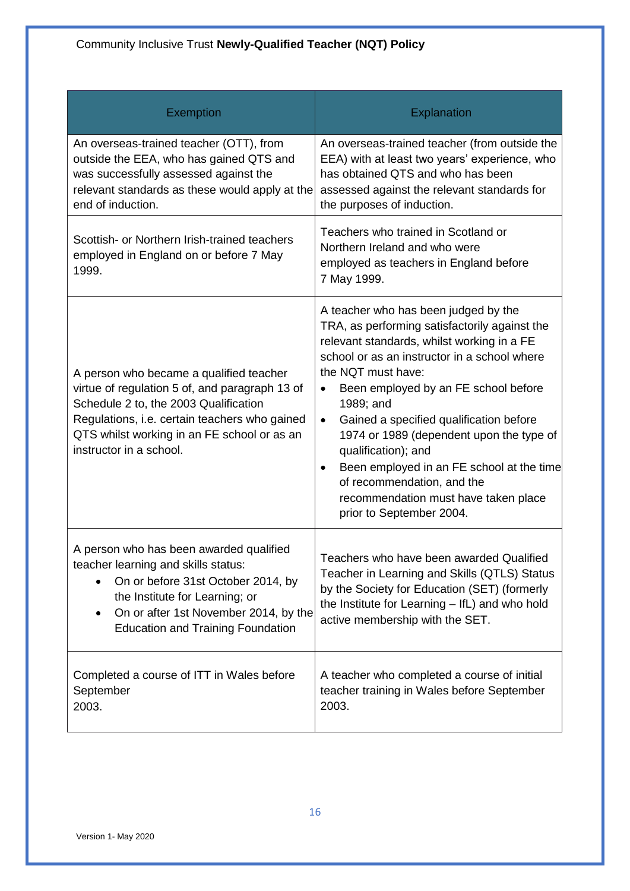| <b>Exemption</b>                                                                                                                                                                                                                                              | Explanation                                                                                                                                                                                                                                                                                                                                                                                                                                                                                                                                                        |
|---------------------------------------------------------------------------------------------------------------------------------------------------------------------------------------------------------------------------------------------------------------|--------------------------------------------------------------------------------------------------------------------------------------------------------------------------------------------------------------------------------------------------------------------------------------------------------------------------------------------------------------------------------------------------------------------------------------------------------------------------------------------------------------------------------------------------------------------|
| An overseas-trained teacher (OTT), from<br>outside the EEA, who has gained QTS and<br>was successfully assessed against the<br>relevant standards as these would apply at the<br>end of induction.                                                            | An overseas-trained teacher (from outside the<br>EEA) with at least two years' experience, who<br>has obtained QTS and who has been<br>assessed against the relevant standards for<br>the purposes of induction.                                                                                                                                                                                                                                                                                                                                                   |
| Scottish- or Northern Irish-trained teachers<br>employed in England on or before 7 May<br>1999.                                                                                                                                                               | Teachers who trained in Scotland or<br>Northern Ireland and who were<br>employed as teachers in England before<br>7 May 1999.                                                                                                                                                                                                                                                                                                                                                                                                                                      |
| A person who became a qualified teacher<br>virtue of regulation 5 of, and paragraph 13 of<br>Schedule 2 to, the 2003 Qualification<br>Regulations, i.e. certain teachers who gained<br>QTS whilst working in an FE school or as an<br>instructor in a school. | A teacher who has been judged by the<br>TRA, as performing satisfactorily against the<br>relevant standards, whilst working in a FE<br>school or as an instructor in a school where<br>the NQT must have:<br>Been employed by an FE school before<br>$\bullet$<br>1989; and<br>Gained a specified qualification before<br>$\bullet$<br>1974 or 1989 (dependent upon the type of<br>qualification); and<br>Been employed in an FE school at the time<br>$\bullet$<br>of recommendation, and the<br>recommendation must have taken place<br>prior to September 2004. |
| A person who has been awarded qualified<br>teacher learning and skills status:<br>On or before 31st October 2014, by<br>the Institute for Learning; or<br>On or after 1st November 2014, by the<br>$\bullet$<br><b>Education and Training Foundation</b>      | Teachers who have been awarded Qualified<br>Teacher in Learning and Skills (QTLS) Status<br>by the Society for Education (SET) (formerly<br>the Institute for Learning - IfL) and who hold<br>active membership with the SET.                                                                                                                                                                                                                                                                                                                                      |
| Completed a course of ITT in Wales before<br>September<br>2003.                                                                                                                                                                                               | A teacher who completed a course of initial<br>teacher training in Wales before September<br>2003.                                                                                                                                                                                                                                                                                                                                                                                                                                                                 |